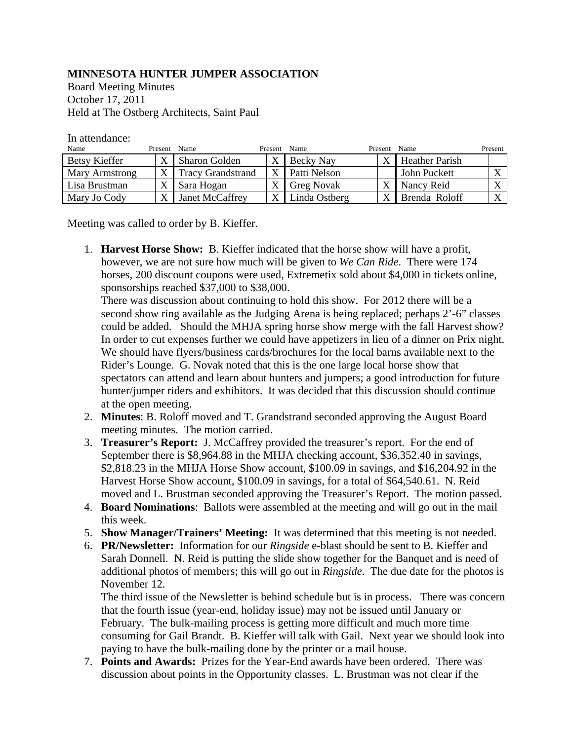## **MINNESOTA HUNTER JUMPER ASSOCIATION**

Board Meeting Minutes October 17, 2011 Held at The Ostberg Architects, Saint Paul

In attendance:

| III auendance. |         |                          |                   |         |                       |                  |
|----------------|---------|--------------------------|-------------------|---------|-----------------------|------------------|
| Name           | Present | Name                     | Present Name      | Present | Name                  | Present          |
| Betsy Kieffer  |         | <b>Sharon Golden</b>     | Becky Nay         | X       | <b>Heather Parish</b> |                  |
| Mary Armstrong |         | <b>Tracy Grandstrand</b> | Patti Nelson      |         | John Puckett          | $\mathbf{x}$     |
| Lisa Brustman  |         | Sara Hogan               | <b>Greg Novak</b> |         | Nancy Reid            | $\mathbf v$<br>A |
| Mary Jo Cody   |         | Janet McCaffrey          | Linda Ostberg     |         | Brenda Roloff         | X                |

Meeting was called to order by B. Kieffer.

1. **Harvest Horse Show:** B. Kieffer indicated that the horse show will have a profit, however, we are not sure how much will be given to *We Can Ride*. There were 174 horses, 200 discount coupons were used, Extremetix sold about \$4,000 in tickets online, sponsorships reached \$37,000 to \$38,000.

There was discussion about continuing to hold this show. For 2012 there will be a second show ring available as the Judging Arena is being replaced; perhaps 2'-6" classes could be added. Should the MHJA spring horse show merge with the fall Harvest show? In order to cut expenses further we could have appetizers in lieu of a dinner on Prix night. We should have flyers/business cards/brochures for the local barns available next to the Rider's Lounge. G. Novak noted that this is the one large local horse show that spectators can attend and learn about hunters and jumpers; a good introduction for future hunter/jumper riders and exhibitors. It was decided that this discussion should continue at the open meeting.

- 2. **Minutes**: B. Roloff moved and T. Grandstrand seconded approving the August Board meeting minutes. The motion carried.
- 3. **Treasurer's Report:** J. McCaffrey provided the treasurer's report. For the end of September there is \$8,964.88 in the MHJA checking account, \$36,352.40 in savings, \$2,818.23 in the MHJA Horse Show account, \$100.09 in savings, and \$16,204.92 in the Harvest Horse Show account, \$100.09 in savings, for a total of \$64,540.61. N. Reid moved and L. Brustman seconded approving the Treasurer's Report. The motion passed.
- 4. **Board Nominations**: Ballots were assembled at the meeting and will go out in the mail this week.
- 5. **Show Manager/Trainers' Meeting:** It was determined that this meeting is not needed.
- 6. **PR/Newsletter:** Information for our *Ringside* e-blast should be sent to B. Kieffer and Sarah Donnell. N. Reid is putting the slide show together for the Banquet and is need of additional photos of members; this will go out in *Ringside*. The due date for the photos is November 12.

The third issue of the Newsletter is behind schedule but is in process. There was concern that the fourth issue (year-end, holiday issue) may not be issued until January or February. The bulk-mailing process is getting more difficult and much more time consuming for Gail Brandt. B. Kieffer will talk with Gail. Next year we should look into paying to have the bulk-mailing done by the printer or a mail house.

7. **Points and Awards:** Prizes for the Year-End awards have been ordered. There was discussion about points in the Opportunity classes. L. Brustman was not clear if the